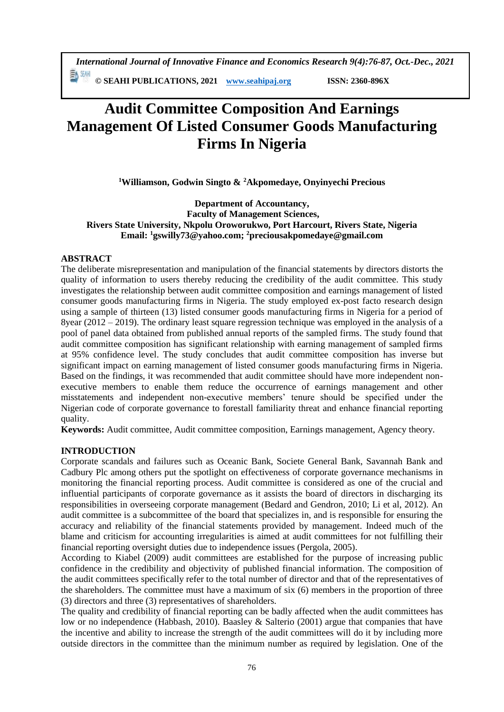*International Journal of Innovative Finance and Economics Research 9(4):76-87, Oct.-Dec., 2021*

**© SEAHI PUBLICATIONS, 2021 [www.seahipaj.org](http://www.seahipaj.org/) ISSN: 2360-896X**

# **Audit Committee Composition And Earnings Management Of Listed Consumer Goods Manufacturing Firms In Nigeria**

**<sup>1</sup>Williamson, Godwin Singto & <sup>2</sup>Akpomedaye, Onyinyechi Precious**

**Department of Accountancy, Faculty of Management Sciences, Rivers State University, Nkpolu Oroworukwo, Port Harcourt, Rivers State, Nigeria Email: <sup>1</sup>gswilly73@yahoo.com; <sup>2</sup>preciousakpomedaye@gmail.com**

## **ABSTRACT**

The deliberate misrepresentation and manipulation of the financial statements by directors distorts the quality of information to users thereby reducing the credibility of the audit committee. This study investigates the relationship between audit committee composition and earnings management of listed consumer goods manufacturing firms in Nigeria. The study employed ex-post facto research design using a sample of thirteen (13) listed consumer goods manufacturing firms in Nigeria for a period of 8year (2012 – 2019). The ordinary least square regression technique was employed in the analysis of a pool of panel data obtained from published annual reports of the sampled firms. The study found that audit committee composition has significant relationship with earning management of sampled firms at 95% confidence level. The study concludes that audit committee composition has inverse but significant impact on earning management of listed consumer goods manufacturing firms in Nigeria. Based on the findings, it was recommended that audit committee should have more independent nonexecutive members to enable them reduce the occurrence of earnings management and other misstatements and independent non-executive members' tenure should be specified under the Nigerian code of corporate governance to forestall familiarity threat and enhance financial reporting quality.

**Keywords:** Audit committee, Audit committee composition, Earnings management, Agency theory.

## **INTRODUCTION**

Corporate scandals and failures such as Oceanic Bank, Societe General Bank, Savannah Bank and Cadbury Plc among others put the spotlight on effectiveness of corporate governance mechanisms in monitoring the financial reporting process. Audit committee is considered as one of the crucial and influential participants of corporate governance as it assists the board of directors in discharging its responsibilities in overseeing corporate management (Bedard and Gendron, 2010; Li et al, 2012). An audit committee is a subcommittee of the board that specializes in, and is responsible for ensuring the accuracy and reliability of the financial statements provided by management. Indeed much of the blame and criticism for accounting irregularities is aimed at audit committees for not fulfilling their financial reporting oversight duties due to independence issues (Pergola, 2005).

According to Kiabel (2009) audit committees are established for the purpose of increasing public confidence in the credibility and objectivity of published financial information. The composition of the audit committees specifically refer to the total number of director and that of the representatives of the shareholders. The committee must have a maximum of six (6) members in the proportion of three (3) directors and three (3) representatives of shareholders.

The quality and credibility of financial reporting can be badly affected when the audit committees has low or no independence (Habbash, 2010). Baasley & Salterio (2001) argue that companies that have the incentive and ability to increase the strength of the audit committees will do it by including more outside directors in the committee than the minimum number as required by legislation. One of the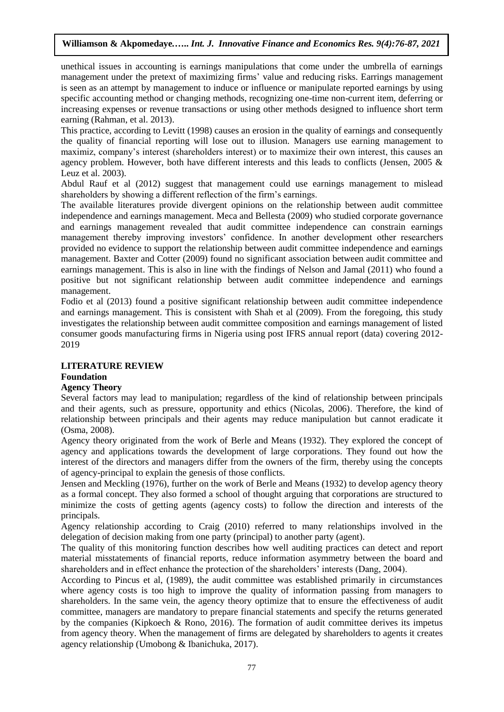unethical issues in accounting is earnings manipulations that come under the umbrella of earnings management under the pretext of maximizing firms' value and reducing risks. Earrings management is seen as an attempt by management to induce or influence or manipulate reported earnings by using specific accounting method or changing methods, recognizing one-time non-current item, deferring or increasing expenses or revenue transactions or using other methods designed to influence short term earning (Rahman, et al. 2013).

This practice, according to Levitt (1998) causes an erosion in the quality of earnings and consequently the quality of financial reporting will lose out to illusion. Managers use earning management to maximiz, company's interest (shareholders interest) or to maximize their own interest, this causes an agency problem. However, both have different interests and this leads to conflicts (Jensen, 2005 & Leuz et al. 2003).

Abdul Rauf et al (2012) suggest that management could use earnings management to mislead shareholders by showing a different reflection of the firm's earnings.

The available literatures provide divergent opinions on the relationship between audit committee independence and earnings management. Meca and Bellesta (2009) who studied corporate governance and earnings management revealed that audit committee independence can constrain earnings management thereby improving investors' confidence. In another development other researchers provided no evidence to support the relationship between audit committee independence and earnings management. Baxter and Cotter (2009) found no significant association between audit committee and earnings management. This is also in line with the findings of Nelson and Jamal (2011) who found a positive but not significant relationship between audit committee independence and earnings management.

Fodio et al (2013) found a positive significant relationship between audit committee independence and earnings management. This is consistent with Shah et al (2009). From the foregoing, this study investigates the relationship between audit committee composition and earnings management of listed consumer goods manufacturing firms in Nigeria using post IFRS annual report (data) covering 2012- 2019

## **LITERATURE REVIEW**

## **Foundation**

## **Agency Theory**

Several factors may lead to manipulation; regardless of the kind of relationship between principals and their agents, such as pressure, opportunity and ethics (Nicolas, 2006). Therefore, the kind of relationship between principals and their agents may reduce manipulation but cannot eradicate it (Osma, 2008).

Agency theory originated from the work of Berle and Means (1932). They explored the concept of agency and applications towards the development of large corporations. They found out how the interest of the directors and managers differ from the owners of the firm, thereby using the concepts of agency-principal to explain the genesis of those conflicts.

Jensen and Meckling (1976), further on the work of Berle and Means (1932) to develop agency theory as a formal concept. They also formed a school of thought arguing that corporations are structured to minimize the costs of getting agents (agency costs) to follow the direction and interests of the principals.

Agency relationship according to Craig (2010) referred to many relationships involved in the delegation of decision making from one party (principal) to another party (agent).

The quality of this monitoring function describes how well auditing practices can detect and report material misstatements of financial reports, reduce information asymmetry between the board and shareholders and in effect enhance the protection of the shareholders' interests (Dang, 2004).

According to Pincus et al, (1989), the audit committee was established primarily in circumstances where agency costs is too high to improve the quality of information passing from managers to shareholders. In the same vein, the agency theory optimize that to ensure the effectiveness of audit committee, managers are mandatory to prepare financial statements and specify the returns generated by the companies (Kipkoech & Rono, 2016). The formation of audit committee derives its impetus from agency theory. When the management of firms are delegated by shareholders to agents it creates agency relationship (Umobong & Ibanichuka, 2017).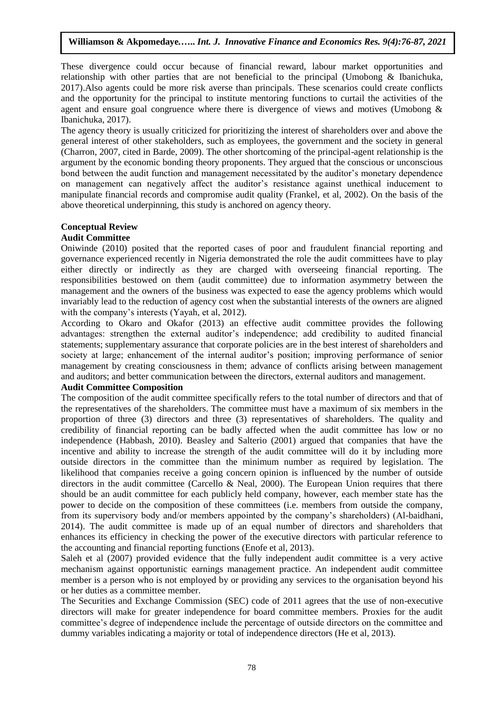These divergence could occur because of financial reward, labour market opportunities and relationship with other parties that are not beneficial to the principal (Umobong & Ibanichuka, 2017).Also agents could be more risk averse than principals. These scenarios could create conflicts and the opportunity for the principal to institute mentoring functions to curtail the activities of the agent and ensure goal congruence where there is divergence of views and motives (Umobong & Ibanichuka, 2017).

The agency theory is usually criticized for prioritizing the interest of shareholders over and above the general interest of other stakeholders, such as employees, the government and the society in general (Charron, 2007, cited in Barde, 2009). The other shortcoming of the principal-agent relationship is the argument by the economic bonding theory proponents. They argued that the conscious or unconscious bond between the audit function and management necessitated by the auditor's monetary dependence on management can negatively affect the auditor's resistance against unethical inducement to manipulate financial records and compromise audit quality (Frankel, et al, 2002). On the basis of the above theoretical underpinning, this study is anchored on agency theory.

## **Conceptual Review**

## **Audit Committee**

Oniwinde (2010) posited that the reported cases of poor and fraudulent financial reporting and governance experienced recently in Nigeria demonstrated the role the audit committees have to play either directly or indirectly as they are charged with overseeing financial reporting. The responsibilities bestowed on them (audit committee) due to information asymmetry between the management and the owners of the business was expected to ease the agency problems which would invariably lead to the reduction of agency cost when the substantial interests of the owners are aligned with the company's interests (Yayah, et al, 2012).

According to Okaro and Okafor (2013) an effective audit committee provides the following advantages: strengthen the external auditor's independence; add credibility to audited financial statements; supplementary assurance that corporate policies are in the best interest of shareholders and society at large; enhancement of the internal auditor's position; improving performance of senior management by creating consciousness in them; advance of conflicts arising between management and auditors; and better communication between the directors, external auditors and management.

## **Audit Committee Composition**

The composition of the audit committee specifically refers to the total number of directors and that of the representatives of the shareholders. The committee must have a maximum of six members in the proportion of three (3) directors and three (3) representatives of shareholders. The quality and credibility of financial reporting can be badly affected when the audit committee has low or no independence (Habbash, 2010). Beasley and Salterio (2001) argued that companies that have the incentive and ability to increase the strength of the audit committee will do it by including more outside directors in the committee than the minimum number as required by legislation. The likelihood that companies receive a going concern opinion is influenced by the number of outside directors in the audit committee (Carcello & Neal, 2000). The European Union requires that there should be an audit committee for each publicly held company, however, each member state has the power to decide on the composition of these committees (i.e. members from outside the company, from its supervisory body and/or members appointed by the company's shareholders) (Al-baidhani, 2014). The audit committee is made up of an equal number of directors and shareholders that enhances its efficiency in checking the power of the executive directors with particular reference to the accounting and financial reporting functions (Enofe et al, 2013).

Saleh et al (2007) provided evidence that the fully independent audit committee is a very active mechanism against opportunistic earnings management practice. An independent audit committee member is a person who is not employed by or providing any services to the organisation beyond his or her duties as a committee member.

The Securities and Exchange Commission (SEC) code of 2011 agrees that the use of non-executive directors will make for greater independence for board committee members. Proxies for the audit committee's degree of independence include the percentage of outside directors on the committee and dummy variables indicating a majority or total of independence directors (He et al, 2013).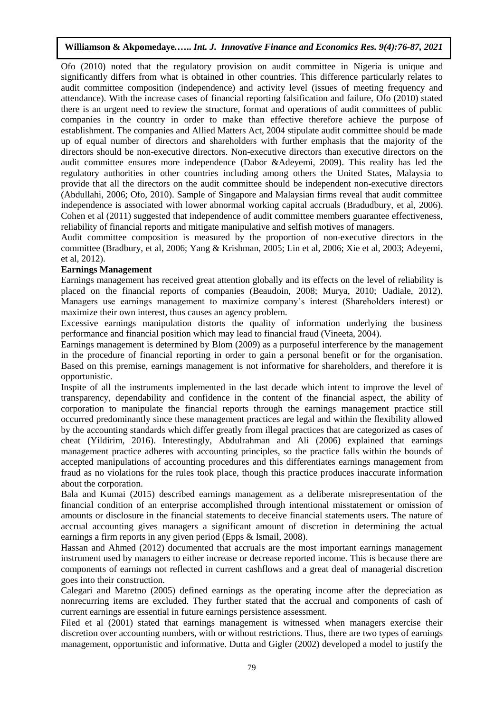Ofo (2010) noted that the regulatory provision on audit committee in Nigeria is unique and significantly differs from what is obtained in other countries. This difference particularly relates to audit committee composition (independence) and activity level (issues of meeting frequency and attendance). With the increase cases of financial reporting falsification and failure, Ofo (2010) stated there is an urgent need to review the structure, format and operations of audit committees of public companies in the country in order to make than effective therefore achieve the purpose of establishment. The companies and Allied Matters Act, 2004 stipulate audit committee should be made up of equal number of directors and shareholders with further emphasis that the majority of the directors should be non-executive directors. Non-executive directors than executive directors on the audit committee ensures more independence (Dabor &Adeyemi, 2009). This reality has led the regulatory authorities in other countries including among others the United States, Malaysia to provide that all the directors on the audit committee should be independent non-executive directors (Abdullahi, 2006; Ofo, 2010). Sample of Singapore and Malaysian firms reveal that audit committee independence is associated with lower abnormal working capital accruals (Bradudbury, et al, 2006). Cohen et al (2011) suggested that independence of audit committee members guarantee effectiveness, reliability of financial reports and mitigate manipulative and selfish motives of managers.

Audit committee composition is measured by the proportion of non-executive directors in the committee (Bradbury, et al, 2006; Yang & Krishman, 2005; Lin et al, 2006; Xie et al, 2003; Adeyemi, et al, 2012).

## **Earnings Management**

Earnings management has received great attention globally and its effects on the level of reliability is placed on the financial reports of companies (Beaudoin, 2008; Murya, 2010; Uadiale, 2012). Managers use earnings management to maximize company's interest (Shareholders interest) or maximize their own interest, thus causes an agency problem.

Excessive earnings manipulation distorts the quality of information underlying the business performance and financial position which may lead to financial fraud (Vineeta, 2004).

Earnings management is determined by Blom (2009) as a purposeful interference by the management in the procedure of financial reporting in order to gain a personal benefit or for the organisation. Based on this premise, earnings management is not informative for shareholders, and therefore it is opportunistic.

Inspite of all the instruments implemented in the last decade which intent to improve the level of transparency, dependability and confidence in the content of the financial aspect, the ability of corporation to manipulate the financial reports through the earnings management practice still occurred predominantly since these management practices are legal and within the flexibility allowed by the accounting standards which differ greatly from illegal practices that are categorized as cases of cheat (Yildirim, 2016). Interestingly, Abdulrahman and Ali (2006) explained that earnings management practice adheres with accounting principles, so the practice falls within the bounds of accepted manipulations of accounting procedures and this differentiates earnings management from fraud as no violations for the rules took place, though this practice produces inaccurate information about the corporation.

Bala and Kumai (2015) described earnings management as a deliberate misrepresentation of the financial condition of an enterprise accomplished through intentional misstatement or omission of amounts or disclosure in the financial statements to deceive financial statements users. The nature of accrual accounting gives managers a significant amount of discretion in determining the actual earnings a firm reports in any given period (Epps & Ismail, 2008).

Hassan and Ahmed (2012) documented that accruals are the most important earnings management instrument used by managers to either increase or decrease reported income. This is because there are components of earnings not reflected in current cashflows and a great deal of managerial discretion goes into their construction.

Calegari and Maretno (2005) defined earnings as the operating income after the depreciation as nonrecurring items are excluded. They further stated that the accrual and components of cash of current earnings are essential in future earnings persistence assessment.

Filed et al (2001) stated that earnings management is witnessed when managers exercise their discretion over accounting numbers, with or without restrictions. Thus, there are two types of earnings management, opportunistic and informative. Dutta and Gigler (2002) developed a model to justify the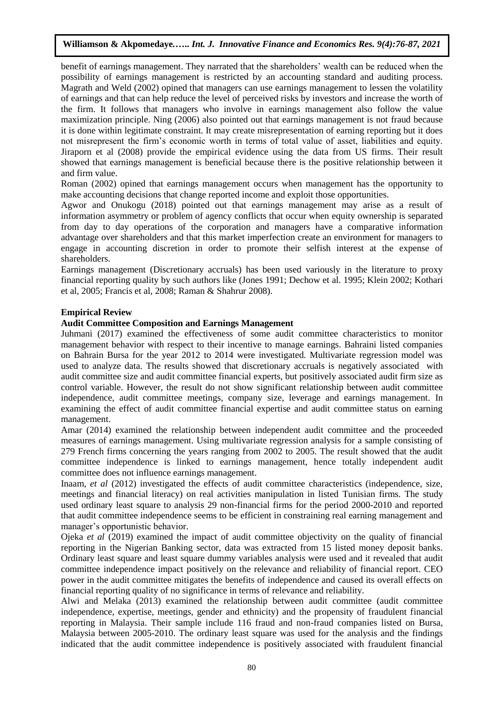benefit of earnings management. They narrated that the shareholders' wealth can be reduced when the possibility of earnings management is restricted by an accounting standard and auditing process. Magrath and Weld (2002) opined that managers can use earnings management to lessen the volatility of earnings and that can help reduce the level of perceived risks by investors and increase the worth of the firm. It follows that managers who involve in earnings management also follow the value maximization principle. Ning (2006) also pointed out that earnings management is not fraud because it is done within legitimate constraint. It may create misrepresentation of earning reporting but it does not misrepresent the firm's economic worth in terms of total value of asset, liabilities and equity. Jiraporn et al (2008) provide the empirical evidence using the data from US firms. Their result showed that earnings management is beneficial because there is the positive relationship between it and firm value.

Roman (2002) opined that earnings management occurs when management has the opportunity to make accounting decisions that change reported income and exploit those opportunities.

Agwor and Onukogu (2018) pointed out that earnings management may arise as a result of information asymmetry or problem of agency conflicts that occur when equity ownership is separated from day to day operations of the corporation and managers have a comparative information advantage over shareholders and that this market imperfection create an environment for managers to engage in accounting discretion in order to promote their selfish interest at the expense of shareholders.

Earnings management (Discretionary accruals) has been used variously in the literature to proxy financial reporting quality by such authors like (Jones 1991; Dechow et al. 1995; Klein 2002; Kothari et al, 2005; Francis et al, 2008; Raman & Shahrur 2008).

## **Empirical Review**

#### **Audit Committee Composition and Earnings Management**

Juhmani (2017) examined the effectiveness of some audit committee characteristics to monitor management behavior with respect to their incentive to manage earnings. Bahraini listed companies on Bahrain Bursa for the year 2012 to 2014 were investigated. Multivariate regression model was used to analyze data. The results showed that discretionary accruals is negatively associated with audit committee size and audit committee financial experts, but positively associated audit firm size as control variable. However, the result do not show significant relationship between audit committee independence, audit committee meetings, company size, leverage and earnings management. In examining the effect of audit committee financial expertise and audit committee status on earning management.

Amar (2014) examined the relationship between independent audit committee and the proceeded measures of earnings management. Using multivariate regression analysis for a sample consisting of 279 French firms concerning the years ranging from 2002 to 2005. The result showed that the audit committee independence is linked to earnings management, hence totally independent audit committee does not influence earnings management.

Inaam, *et al* (2012) investigated the effects of audit committee characteristics (independence, size, meetings and financial literacy) on real activities manipulation in listed Tunisian firms. The study used ordinary least square to analysis 29 non-financial firms for the period 2000-2010 and reported that audit committee independence seems to be efficient in constraining real earning management and manager's opportunistic behavior.

Ojeka *et al* (2019) examined the impact of audit committee objectivity on the quality of financial reporting in the Nigerian Banking sector, data was extracted from 15 listed money deposit banks. Ordinary least square and least square dummy variables analysis were used and it revealed that audit committee independence impact positively on the relevance and reliability of financial report. CEO power in the audit committee mitigates the benefits of independence and caused its overall effects on financial reporting quality of no significance in terms of relevance and reliability.

Alwi and Melaka (2013) examined the relationship between audit committee (audit committee independence, expertise, meetings, gender and ethnicity) and the propensity of fraudulent financial reporting in Malaysia. Their sample include 116 fraud and non-fraud companies listed on Bursa, Malaysia between 2005-2010. The ordinary least square was used for the analysis and the findings indicated that the audit committee independence is positively associated with fraudulent financial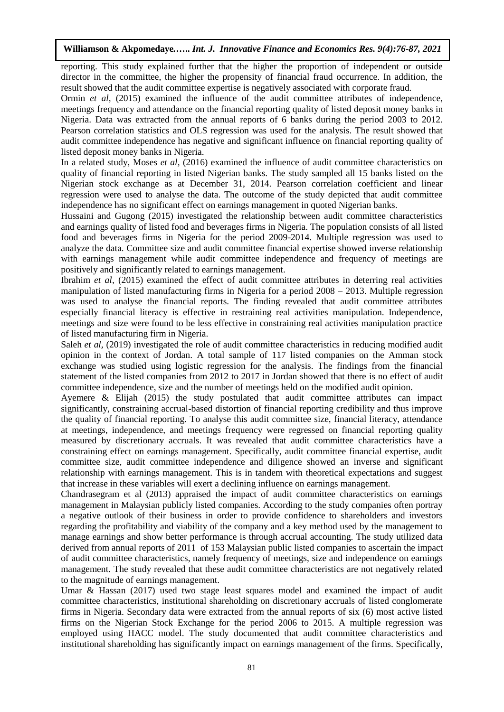reporting. This study explained further that the higher the proportion of independent or outside director in the committee, the higher the propensity of financial fraud occurrence. In addition, the result showed that the audit committee expertise is negatively associated with corporate fraud.

Ormin *et al.* (2015) examined the influence of the audit committee attributes of independence, meetings frequency and attendance on the financial reporting quality of listed deposit money banks in Nigeria. Data was extracted from the annual reports of 6 banks during the period 2003 to 2012. Pearson correlation statistics and OLS regression was used for the analysis. The result showed that audit committee independence has negative and significant influence on financial reporting quality of listed deposit money banks in Nigeria.

In a related study, Moses *et al,* (2016) examined the influence of audit committee characteristics on quality of financial reporting in listed Nigerian banks. The study sampled all 15 banks listed on the Nigerian stock exchange as at December 31, 2014. Pearson correlation coefficient and linear regression were used to analyse the data. The outcome of the study depicted that audit committee independence has no significant effect on earnings management in quoted Nigerian banks.

Hussaini and Gugong (2015) investigated the relationship between audit committee characteristics and earnings quality of listed food and beverages firms in Nigeria. The population consists of all listed food and beverages firms in Nigeria for the period 2009-2014. Multiple regression was used to analyze the data. Committee size and audit committee financial expertise showed inverse relationship with earnings management while audit committee independence and frequency of meetings are positively and significantly related to earnings management.

Ibrahim *et al,* (2015) examined the effect of audit committee attributes in deterring real activities manipulation of listed manufacturing firms in Nigeria for a period 2008 – 2013. Multiple regression was used to analyse the financial reports. The finding revealed that audit committee attributes especially financial literacy is effective in restraining real activities manipulation. Independence, meetings and size were found to be less effective in constraining real activities manipulation practice of listed manufacturing firm in Nigeria.

Saleh *et al.* (2019) investigated the role of audit committee characteristics in reducing modified audit opinion in the context of Jordan. A total sample of 117 listed companies on the Amman stock exchange was studied using logistic regression for the analysis. The findings from the financial statement of the listed companies from 2012 to 2017 in Jordan showed that there is no effect of audit committee independence, size and the number of meetings held on the modified audit opinion.

Ayemere & Elijah (2015) the study postulated that audit committee attributes can impact significantly, constraining accrual-based distortion of financial reporting credibility and thus improve the quality of financial reporting. To analyse this audit committee size, financial literacy, attendance at meetings, independence, and meetings frequency were regressed on financial reporting quality measured by discretionary accruals. It was revealed that audit committee characteristics have a constraining effect on earnings management. Specifically, audit committee financial expertise, audit committee size, audit committee independence and diligence showed an inverse and significant relationship with earnings management. This is in tandem with theoretical expectations and suggest that increase in these variables will exert a declining influence on earnings management.

Chandrasegram et al (2013) appraised the impact of audit committee characteristics on earnings management in Malaysian publicly listed companies. According to the study companies often portray a negative outlook of their business in order to provide confidence to shareholders and investors regarding the profitability and viability of the company and a key method used by the management to manage earnings and show better performance is through accrual accounting. The study utilized data derived from annual reports of 2011 of 153 Malaysian public listed companies to ascertain the impact of audit committee characteristics, namely frequency of meetings, size and independence on earnings management. The study revealed that these audit committee characteristics are not negatively related to the magnitude of earnings management.

Umar & Hassan (2017) used two stage least squares model and examined the impact of audit committee characteristics, institutional shareholding on discretionary accruals of listed conglomerate firms in Nigeria. Secondary data were extracted from the annual reports of six (6) most active listed firms on the Nigerian Stock Exchange for the period 2006 to 2015. A multiple regression was employed using HACC model. The study documented that audit committee characteristics and institutional shareholding has significantly impact on earnings management of the firms. Specifically,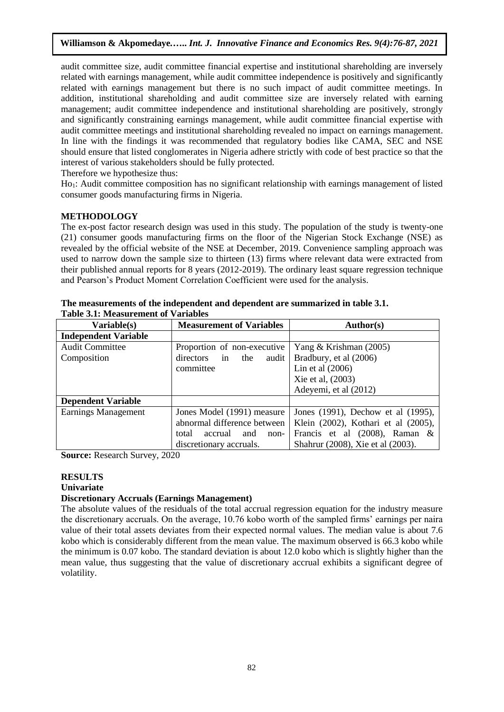audit committee size, audit committee financial expertise and institutional shareholding are inversely related with earnings management, while audit committee independence is positively and significantly related with earnings management but there is no such impact of audit committee meetings. In addition, institutional shareholding and audit committee size are inversely related with earning management; audit committee independence and institutional shareholding are positively, strongly and significantly constraining earnings management, while audit committee financial expertise with audit committee meetings and institutional shareholding revealed no impact on earnings management. In line with the findings it was recommended that regulatory bodies like CAMA, SEC and NSE should ensure that listed conglomerates in Nigeria adhere strictly with code of best practice so that the interest of various stakeholders should be fully protected.

Therefore we hypothesize thus:

Ho1: Audit committee composition has no significant relationship with earnings management of listed consumer goods manufacturing firms in Nigeria.

## **METHODOLOGY**

The ex-post factor research design was used in this study. The population of the study is twenty-one (21) consumer goods manufacturing firms on the floor of the Nigerian Stock Exchange (NSE) as revealed by the official website of the NSE at December, 2019. Convenience sampling approach was used to narrow down the sample size to thirteen (13) firms where relevant data were extracted from their published annual reports for 8 years (2012-2019). The ordinary least square regression technique and Pearson's Product Moment Correlation Coefficient were used for the analysis.

| Variable(s)                 | <b>Measurement of Variables</b> | <b>Author(s)</b>                    |  |
|-----------------------------|---------------------------------|-------------------------------------|--|
| <b>Independent Variable</b> |                                 |                                     |  |
| <b>Audit Committee</b>      | Proportion of non-executive     | Yang & Krishman (2005)              |  |
| Composition                 | directors in<br>the<br>audit    | Bradbury, et al (2006)              |  |
|                             | committee                       | Lin et al $(2006)$                  |  |
|                             |                                 | Xie et al, (2003)                   |  |
|                             |                                 | Adeyemi, et al (2012)               |  |
| <b>Dependent Variable</b>   |                                 |                                     |  |
| Earnings Management         | Jones Model (1991) measure      | Jones (1991), Dechow et al (1995),  |  |
|                             | abnormal difference between     | Klein (2002), Kothari et al (2005), |  |
|                             | accrual<br>and<br>total<br>non- | Francis et al $(2008)$ , Raman &    |  |
|                             | discretionary accruals.         | Shahrur (2008), Xie et al (2003).   |  |

**The measurements of the independent and dependent are summarized in table 3.1. Table 3.1: Measurement of Variables**

**Source:** Research Survey, 2020

## **RESULTS**

## **Univariate**

## **Discretionary Accruals (Earnings Management)**

The absolute values of the residuals of the total accrual regression equation for the industry measure the discretionary accruals. On the average, 10.76 kobo worth of the sampled firms' earnings per naira value of their total assets deviates from their expected normal values. The median value is about 7.6 kobo which is considerably different from the mean value. The maximum observed is 66.3 kobo while the minimum is 0.07 kobo. The standard deviation is about 12.0 kobo which is slightly higher than the mean value, thus suggesting that the value of discretionary accrual exhibits a significant degree of volatility.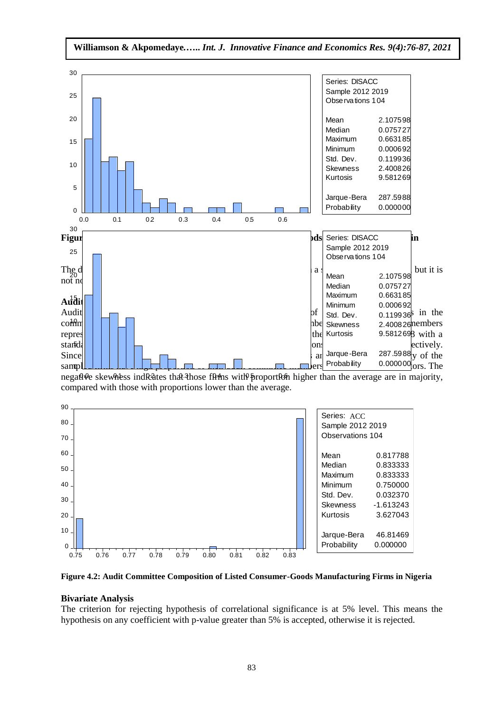

**Williamson & Akpomedaye***.***…..** *Int. J. Innovative Finance and Economics Res. 9(4):76-87, 2021*

negative skewhess indicates that those firms with proportion higher than the average are in majority,



**Figure 4.2: Audit Committee Composition of Listed Consumer-Goods Manufacturing Firms in Nigeria**

## **Bivariate Analysis**

The criterion for rejecting hypothesis of correlational significance is at 5% level. This means the hypothesis on any coefficient with p-value greater than 5% is accepted, otherwise it is rejected.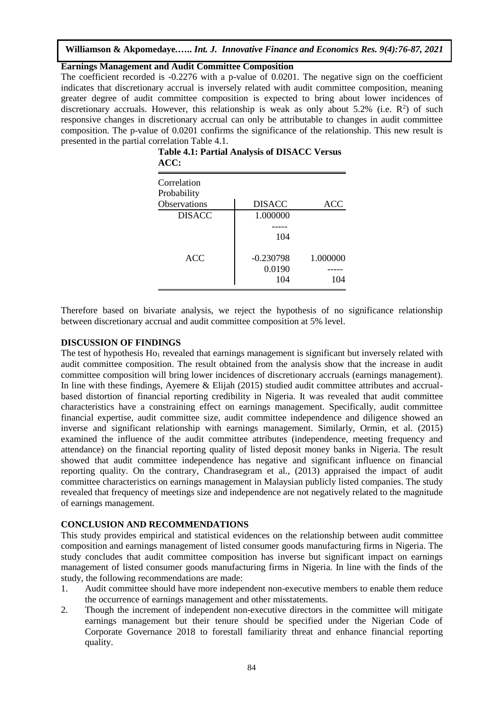### **Earnings Management and Audit Committee Composition**

The coefficient recorded is -0.2276 with a p-value of 0.0201. The negative sign on the coefficient indicates that discretionary accrual is inversely related with audit committee composition, meaning greater degree of audit committee composition is expected to bring about lower incidences of discretionary accruals. However, this relationship is weak as only about 5.2% (i.e.  $\mathbb{R}^2$ ) of such responsive changes in discretionary accrual can only be attributable to changes in audit committee composition. The p-value of 0.0201 confirms the significance of the relationship. This new result is presented in the partial correlation Table 4.1.

| $\bf{m}$      |               |            |
|---------------|---------------|------------|
| Correlation   |               |            |
| Probability   |               |            |
| Observations  | <b>DISACC</b> | <b>ACC</b> |
| <b>DISACC</b> | 1.000000      |            |
|               |               |            |
|               | 104           |            |
| <b>ACC</b>    | $-0.230798$   | 1.000000   |
|               | 0.0190        |            |
|               | 104           | 104        |

**Table 4.1: Partial Analysis of DISACC Versus ACC:**

Therefore based on bivariate analysis, we reject the hypothesis of no significance relationship between discretionary accrual and audit committee composition at 5% level.

## **DISCUSSION OF FINDINGS**

The test of hypothesis  $Ho_1$  revealed that earnings management is significant but inversely related with audit committee composition. The result obtained from the analysis show that the increase in audit committee composition will bring lower incidences of discretionary accruals (earnings management). In line with these findings, Ayemere & Elijah (2015) studied audit committee attributes and accrualbased distortion of financial reporting credibility in Nigeria. It was revealed that audit committee characteristics have a constraining effect on earnings management. Specifically, audit committee financial expertise, audit committee size, audit committee independence and diligence showed an inverse and significant relationship with earnings management. Similarly, Ormin, et al. (2015) examined the influence of the audit committee attributes (independence, meeting frequency and attendance) on the financial reporting quality of listed deposit money banks in Nigeria. The result showed that audit committee independence has negative and significant influence on financial reporting quality. On the contrary, Chandrasegram et al., (2013) appraised the impact of audit committee characteristics on earnings management in Malaysian publicly listed companies. The study revealed that frequency of meetings size and independence are not negatively related to the magnitude of earnings management.

## **CONCLUSION AND RECOMMENDATIONS**

This study provides empirical and statistical evidences on the relationship between audit committee composition and earnings management of listed consumer goods manufacturing firms in Nigeria. The study concludes that audit committee composition has inverse but significant impact on earnings management of listed consumer goods manufacturing firms in Nigeria. In line with the finds of the study, the following recommendations are made:

- 1. Audit committee should have more independent non-executive members to enable them reduce the occurrence of earnings management and other misstatements.
- 2. Though the increment of independent non-executive directors in the committee will mitigate earnings management but their tenure should be specified under the Nigerian Code of Corporate Governance 2018 to forestall familiarity threat and enhance financial reporting quality.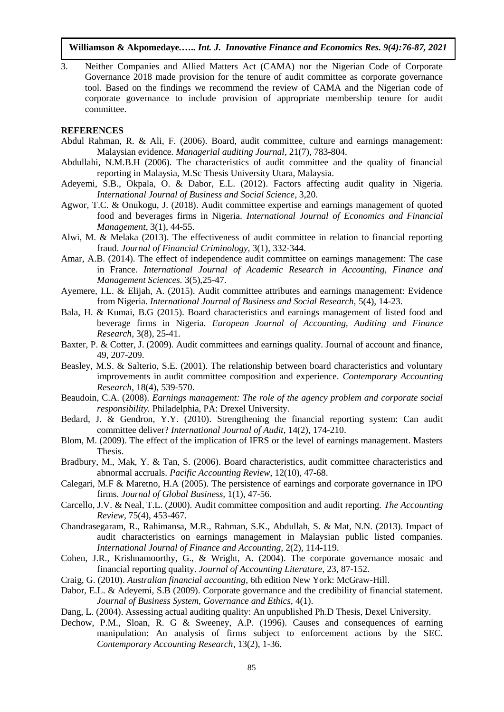3. Neither Companies and Allied Matters Act (CAMA) nor the Nigerian Code of Corporate Governance 2018 made provision for the tenure of audit committee as corporate governance tool. Based on the findings we recommend the review of CAMA and the Nigerian code of corporate governance to include provision of appropriate membership tenure for audit committee.

#### **REFERENCES**

- Abdul Rahman, R. & Ali, F. (2006). Board, audit committee, culture and earnings management: Malaysian evidence. *Managerial auditing Journal*, 21(7), 783-804.
- Abdullahi, N.M.B.H (2006). The characteristics of audit committee and the quality of financial reporting in Malaysia, M.Sc Thesis University Utara, Malaysia.
- Adeyemi, S.B., Okpala, O. & Dabor, E.L. (2012). Factors affecting audit quality in Nigeria. *International Journal of Business and Social Science*, 3,20.
- Agwor, T.C. & Onukogu, J. (2018). Audit committee expertise and earnings management of quoted food and beverages firms in Nigeria. *International Journal of Economics and Financial Management*, 3(1), 44-55.
- Alwi, M. & Melaka (2013). The effectiveness of audit committee in relation to financial reporting fraud. *Journal of Financial Criminology,* 3(1), 332-344.
- Amar, A.B. (2014). The effect of independence audit committee on earnings management: The case in France. *International Journal of Academic Research in Accounting, Finance and Management Sciences.* 3(5),25-47.
- Ayemere, I.L. & Elijah, A. (2015). Audit committee attributes and earnings management: Evidence from Nigeria. *International Journal of Business and Social Research,* 5(4), 14-23.
- Bala, H. & Kumai, B.G (2015). Board characteristics and earnings management of listed food and beverage firms in Nigeria. *European Journal of Accounting, Auditing and Finance Research,* 3(8), 25-41.
- Baxter, P. & Cotter, J. (2009). Audit committees and earnings quality. Journal of account and finance, 49, 207-209.
- Beasley, M.S. & Salterio, S.E. (2001). The relationship between board characteristics and voluntary improvements in audit committee composition and experience. *Contemporary Accounting Research*, 18(4), 539-570.
- Beaudoin, C.A. (2008). *Earnings management: The role of the agency problem and corporate social responsibility.* Philadelphia, PA: Drexel University.
- Bedard, J. & Gendron, Y.Y. (2010). Strengthening the financial reporting system: Can audit committee deliver? *International Journal of Audit*, 14(2), 174-210.
- Blom, M. (2009). The effect of the implication of IFRS or the level of earnings management. Masters Thesis.
- Bradbury, M., Mak, Y. & Tan, S. (2006). Board characteristics, audit committee characteristics and abnormal accruals. *Pacific Accounting Review*, 12(10), 47-68.
- Calegari, M.F & Maretno, H.A (2005). The persistence of earnings and corporate governance in IPO firms. *Journal of Global Business,* 1(1), 47-56.
- Carcello, J.V. & Neal, T.L. (2000). Audit committee composition and audit reporting. *The Accounting Review*, 75(4), 453-467.
- Chandrasegaram, R., Rahimansa, M.R., Rahman, S.K., Abdullah, S. & Mat, N.N. (2013). Impact of audit characteristics on earnings management in Malaysian public listed companies. *International Journal of Finance and Accounting,* 2(2), 114-119.
- Cohen, J.R., Krishnamoorthy, G., & Wright, A. (2004). The corporate governance mosaic and financial reporting quality. *Journal of Accounting Literature,* 23, 87-152.
- Craig, G. (2010). *Australian financial accounting*, 6th edition New York: McGraw-Hill.
- Dabor, E.L. & Adeyemi, S.B (2009). Corporate governance and the credibility of financial statement. *Journal of Business System, Governance and Ethics,* 4(1).
- Dang, L. (2004). Assessing actual auditing quality: An unpublished Ph.D Thesis, Dexel University.
- Dechow, P.M., Sloan, R. G & Sweeney, A.P. (1996). Causes and consequences of earning manipulation: An analysis of firms subject to enforcement actions by the SEC. *Contemporary Accounting Research*, 13(2), 1-36.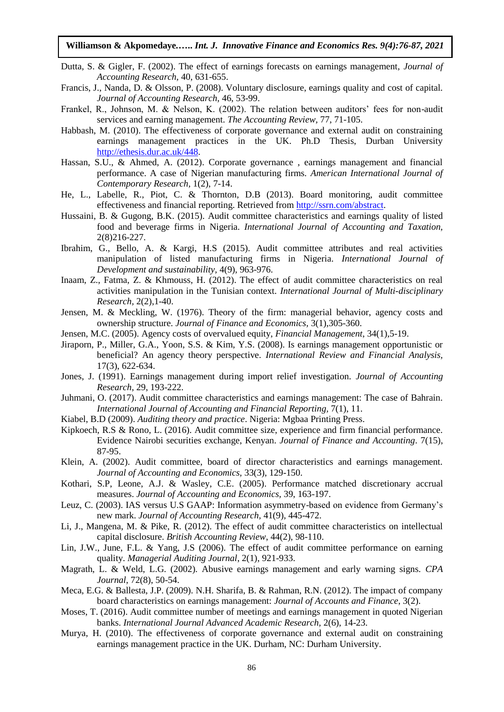- Dutta, S. & Gigler, F. (2002). The effect of earnings forecasts on earnings management, *Journal of Accounting Research,* 40, 631-655.
- Francis, J., Nanda, D. & Olsson, P. (2008). Voluntary disclosure, earnings quality and cost of capital. *Journal of Accounting Research,* 46, 53-99.
- Frankel, R., Johnson, M. & Nelson, K. (2002). The relation between auditors' fees for non-audit services and earning management. *The Accounting Review,* 77, 71-105.
- Habbash, M. (2010). The effectiveness of corporate governance and external audit on constraining earnings management practices in the UK. Ph.D Thesis, Durban University [http://ethesis.dur.ac.uk/448.](http://ethesis.dur.ac.uk/448)
- Hassan, S.U., & Ahmed, A. (2012). Corporate governance , earnings management and financial performance. A case of Nigerian manufacturing firms. *American International Journal of Contemporary Research,* 1(2), 7-14.
- He, L., Labelle, R., Piot, C. & Thornton, D.B (2013). Board monitoring, audit committee effectiveness and financial reporting. Retrieved from [http://ssrn.com/abstract.](http://ssrn.com/abstract)
- Hussaini, B. & Gugong, B.K. (2015). Audit committee characteristics and earnings quality of listed food and beverage firms in Nigeria. *International Journal of Accounting and Taxation,* 2(8)216-227.
- Ibrahim, G., Bello, A. & Kargi, H.S (2015). Audit committee attributes and real activities manipulation of listed manufacturing firms in Nigeria. *International Journal of Development and sustainability,* 4(9), 963-976.
- Inaam, Z., Fatma, Z. & Khmouss, H. (2012). The effect of audit committee characteristics on real activities manipulation in the Tunisian context. *International Journal of Multi-disciplinary Research,* 2(2),1-40.
- Jensen, M. & Meckling, W. (1976). Theory of the firm: managerial behavior, agency costs and ownership structure. *Journal of Finance and Economics,* 3(1),305-360.
- Jensen, M.C. (2005). Agency costs of overvalued equity, *Financial Management*, 34(1),5-19.
- Jiraporn, P., Miller, G.A., Yoon, S.S. & Kim, Y.S. (2008). Is earnings management opportunistic or beneficial? An agency theory perspective. *International Review and Financial Analysis,* 17(3), 622-634.
- Jones, J. (1991). Earnings management during import relief investigation. *Journal of Accounting Research*, 29, 193-222.
- Juhmani, O. (2017). Audit committee characteristics and earnings management: The case of Bahrain. *International Journal of Accounting and Financial Reporting,* 7(1), 11.
- Kiabel, B.D (2009). *Auditing theory and practice*. Nigeria: Mgbaa Printing Press.
- Kipkoech, R.S & Rono, L. (2016). Audit committee size, experience and firm financial performance. Evidence Nairobi securities exchange, Kenyan. *Journal of Finance and Accounting*. 7(15), 87-95.
- Klein, A. (2002). Audit committee, board of director characteristics and earnings management. *Journal of Accounting and Economics,* 33(3), 129-150.
- Kothari, S.P, Leone, A.J. & Wasley, C.E. (2005). Performance matched discretionary accrual measures. *Journal of Accounting and Economics,* 39, 163-197.
- Leuz, C. (2003). IAS versus U.S GAAP: Information asymmetry-based on evidence from Germany's new mark. *Journal of Accounting Research,* 41(9), 445-472.
- Li, J., Mangena, M. & Pike, R. (2012). The effect of audit committee characteristics on intellectual capital disclosure. *British Accounting Review*, 44(2), 98-110.
- Lin, J.W., June, F.L. & Yang, J.S (2006). The effect of audit committee performance on earning quality. *Managerial Auditing Journal*, 2(1), 921-933.
- Magrath, L. & Weld, L.G. (2002). Abusive earnings management and early warning signs. *CPA Journal*, 72(8), 50-54.
- Meca, E.G. & Ballesta, J.P. (2009). N.H. Sharifa, B. & Rahman, R.N. (2012). The impact of company board characteristics on earnings management: *Journal of Accounts and Finance*, 3(2).
- Moses, T. (2016). Audit committee number of meetings and earnings management in quoted Nigerian banks. *International Journal Advanced Academic Research,* 2(6), 14-23.
- Murya, H. (2010). The effectiveness of corporate governance and external audit on constraining earnings management practice in the UK. Durham, NC: Durham University.